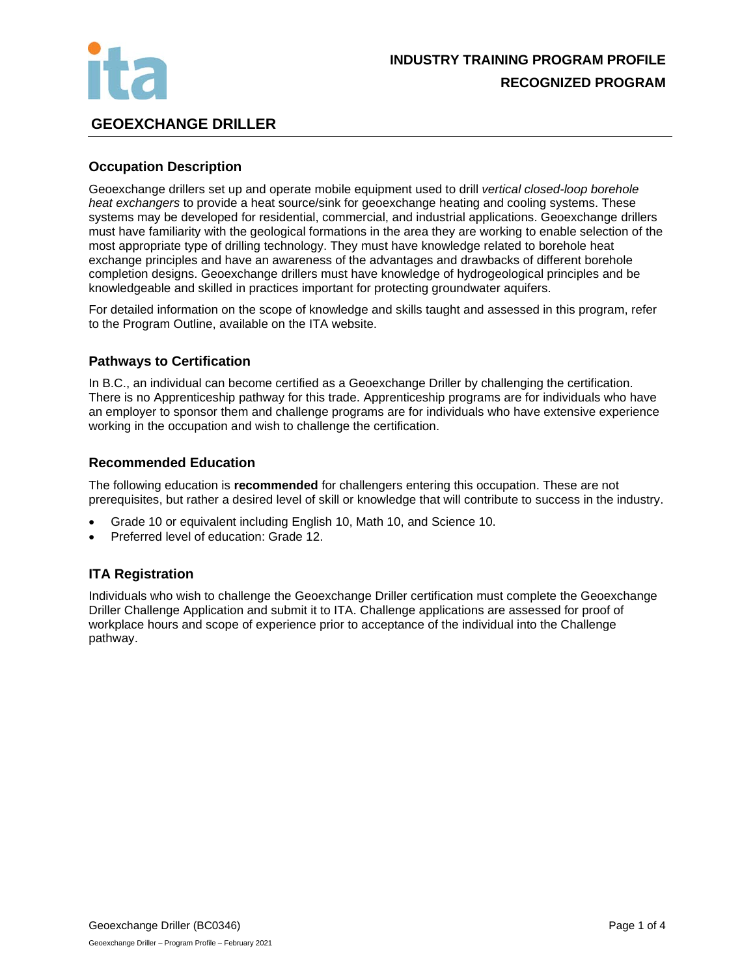

## **GEOEXCHANGE DRILLER**

## **Occupation Description**

Geoexchange drillers set up and operate mobile equipment used to drill *vertical closed-loop borehole heat exchangers* to provide a heat source/sink for geoexchange heating and cooling systems. These systems may be developed for residential, commercial, and industrial applications. Geoexchange drillers must have familiarity with the geological formations in the area they are working to enable selection of the most appropriate type of drilling technology. They must have knowledge related to borehole heat exchange principles and have an awareness of the advantages and drawbacks of different borehole completion designs. Geoexchange drillers must have knowledge of hydrogeological principles and be knowledgeable and skilled in practices important for protecting groundwater aquifers.

For detailed information on the scope of knowledge and skills taught and assessed in this program, refer to the Program Outline, available on the ITA website.

## **Pathways to Certification**

In B.C., an individual can become certified as a Geoexchange Driller by challenging the certification. There is no Apprenticeship pathway for this trade. Apprenticeship programs are for individuals who have an employer to sponsor them and challenge programs are for individuals who have extensive experience working in the occupation and wish to challenge the certification.

## **Recommended Education**

The following education is **recommended** for challengers entering this occupation. These are not prerequisites, but rather a desired level of skill or knowledge that will contribute to success in the industry.

- Grade 10 or equivalent including English 10, Math 10, and Science 10.
- Preferred level of education: Grade 12.

## **ITA Registration**

Individuals who wish to challenge the Geoexchange Driller certification must complete the Geoexchange Driller Challenge Application and submit it to ITA. Challenge applications are assessed for proof of workplace hours and scope of experience prior to acceptance of the individual into the Challenge pathway.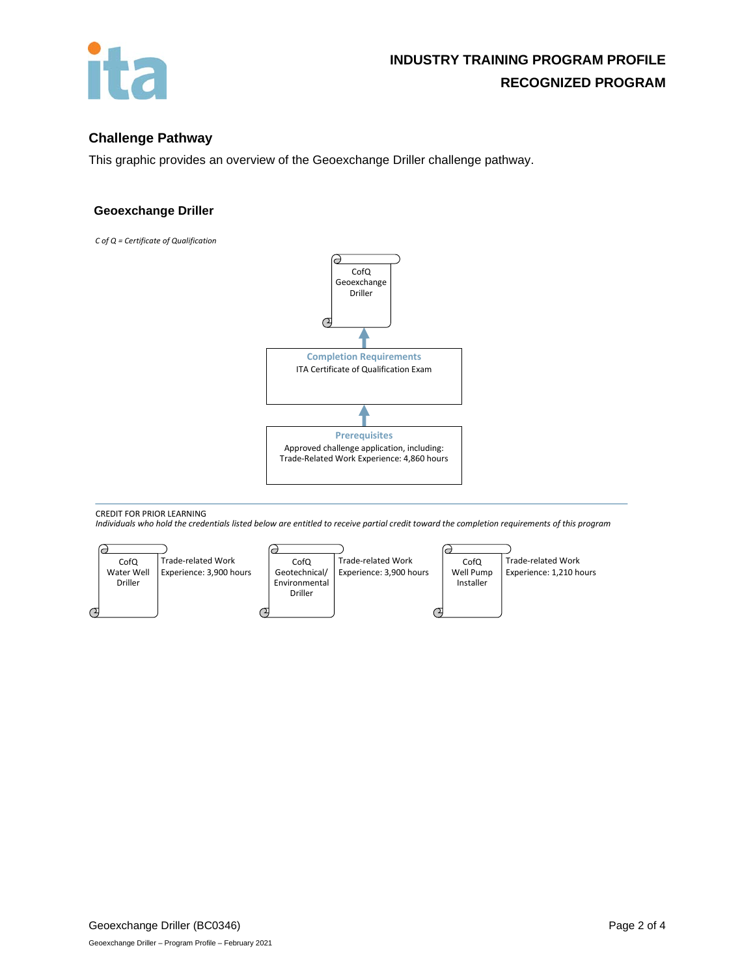

## **Challenge Pathway**

This graphic provides an overview of the Geoexchange Driller challenge pathway.

#### **Geoexchange Driller**

*C of Q = Certificate of Qualification*



CREDIT FOR PRIOR LEARNING

*Individuals who hold the credentials listed below are entitled to receive partial credit toward the completion requirements of this program*

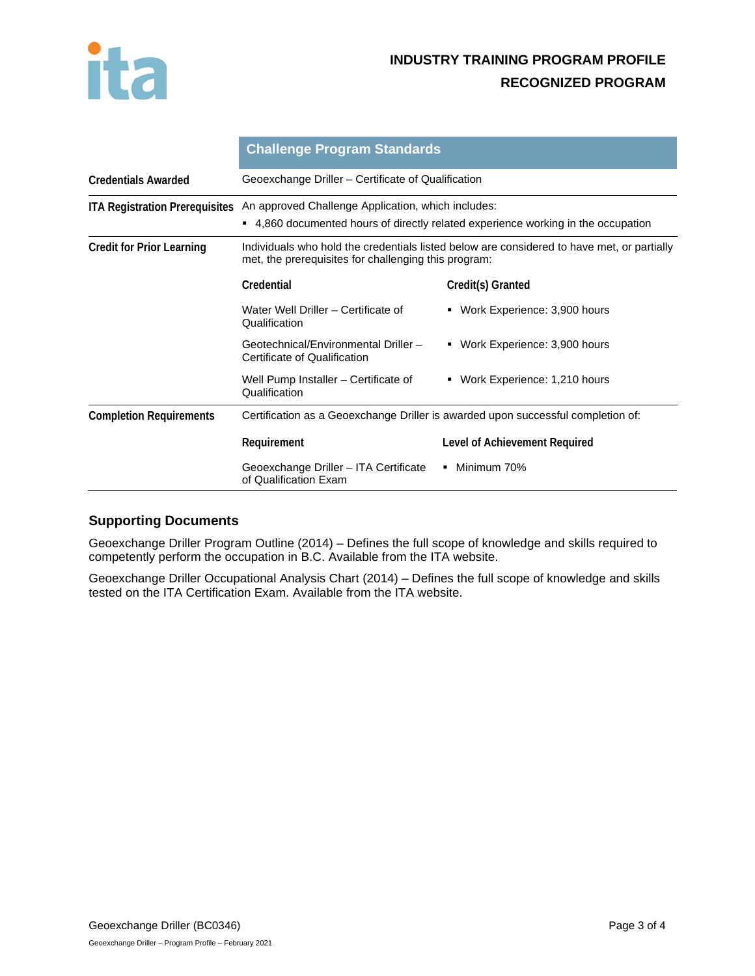

# **INDUSTRY TRAINING PROGRAM PROFILE RECOGNIZED PROGRAM**

|                                       | <b>Challenge Program Standards</b>                                                                                                                 |                                   |
|---------------------------------------|----------------------------------------------------------------------------------------------------------------------------------------------------|-----------------------------------|
| <b>Credentials Awarded</b>            | Geoexchange Driller – Certificate of Qualification                                                                                                 |                                   |
| <b>ITA Registration Prerequisites</b> | An approved Challenge Application, which includes:<br>■ 4,860 documented hours of directly related experience working in the occupation            |                                   |
| <b>Credit for Prior Learning</b>      | Individuals who hold the credentials listed below are considered to have met, or partially<br>met, the prerequisites for challenging this program: |                                   |
|                                       | Credential                                                                                                                                         | Credit(s) Granted                 |
|                                       | Water Well Driller - Certificate of<br>Qualification                                                                                               | Work Experience: 3,900 hours<br>٠ |
|                                       | Geotechnical/Environmental Driller -<br>Certificate of Qualification                                                                               | • Work Experience: 3,900 hours    |
|                                       | Well Pump Installer – Certificate of<br>Qualification                                                                                              | • Work Experience: 1,210 hours    |
| <b>Completion Requirements</b>        | Certification as a Geoexchange Driller is awarded upon successful completion of:                                                                   |                                   |
|                                       | Requirement                                                                                                                                        | Level of Achievement Required     |
|                                       | Geoexchange Driller - ITA Certificate<br>of Qualification Exam                                                                                     | • Minimum 70%                     |

## **Supporting Documents**

Geoexchange Driller Program Outline (2014) – Defines the full scope of knowledge and skills required to competently perform the occupation in B.C. Available from the ITA website.

Geoexchange Driller Occupational Analysis Chart (2014) – Defines the full scope of knowledge and skills tested on the ITA Certification Exam. Available from the ITA website.